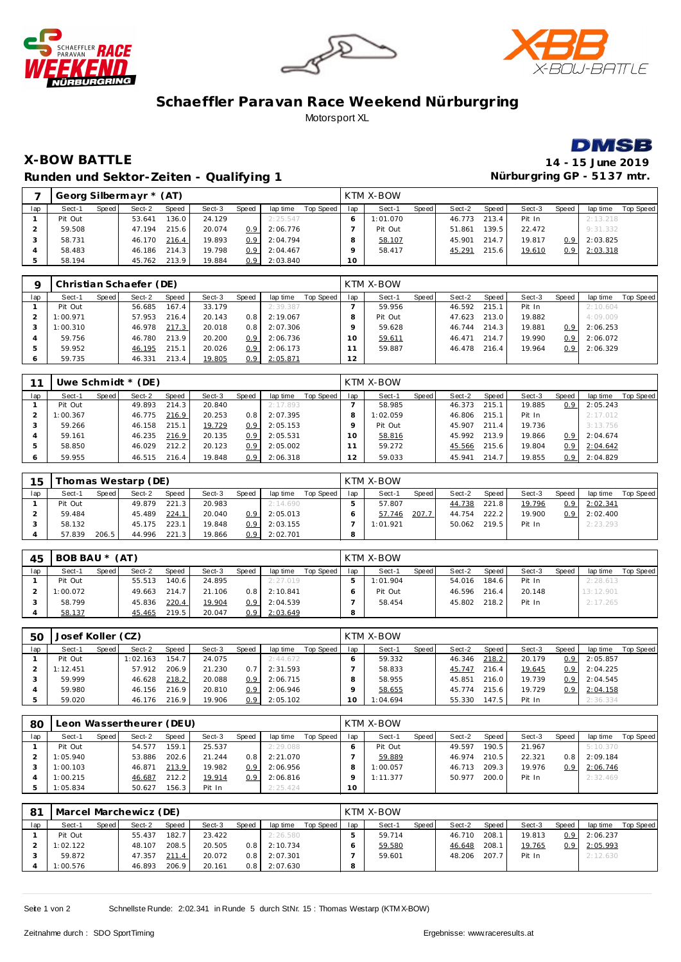





## **Schaeffler Paravan Race Weekend Nürburgring** Motorsport XL



**X-BOW BATTLE 14 - 15 June 2019 Runden und Sektor-Zeiten - Qualifying 1** 

|     |         | Georg Silbermayr * (AT)<br>Speed<br>Speed<br>Speed<br>Sect-2<br>Sect-3<br>lap time<br>136.0<br>2:25.547<br>24.129<br>53.641 |        |       |        |     |          |           |     | KTM X-BOW |       |        |       |        |                  |          |           |
|-----|---------|-----------------------------------------------------------------------------------------------------------------------------|--------|-------|--------|-----|----------|-----------|-----|-----------|-------|--------|-------|--------|------------------|----------|-----------|
| lap | Sect-1  |                                                                                                                             |        |       |        |     |          | Top Speed | lap | Sect-1    | Speed | Sect-2 | Speed | Sect-3 | Speed            | lap time | Top Speed |
|     | Pit Out |                                                                                                                             |        |       |        |     |          |           |     | 1:01.070  |       | 46.773 | 213.4 | Pit In |                  | 2:13.218 |           |
|     | 59.508  |                                                                                                                             | 47.194 | 215.6 | 20.074 | 0.9 | 2:06.776 |           |     | Pit Out   |       | 51.861 | 139.5 | 22.472 |                  | 9:31.332 |           |
|     | 58.731  |                                                                                                                             | 46.170 | 216.4 | 19.893 | 0.9 | 2:04.794 |           |     | 58.107    |       | 45.901 | 214.7 | 19.817 | 0.9              | 2:03.825 |           |
|     | 58.483  |                                                                                                                             | 46.186 | 214.3 | 19.798 | 0.9 | 2:04.467 |           |     | 58.417    |       | 45.291 | 215.6 | 19.610 | 0.9 <sup>°</sup> | 2:03.318 |           |
|     | 58.194  |                                                                                                                             | 45.762 | 213.9 | 19.884 | 0.9 | 2:03.840 |           | 10  |           |       |        |       |        |                  |          |           |

|     |          |         | Christian Schaefer (DE) |       |        |                  |          |           |        | KTM X-BOW |       |        |       |        |                  |          |           |
|-----|----------|---------|-------------------------|-------|--------|------------------|----------|-----------|--------|-----------|-------|--------|-------|--------|------------------|----------|-----------|
| lap | Sect-1   | Speed I | Sect-2                  | Speed | Sect-3 | Speed            | lap time | Top Speed | lap    | Sect-1    | Speed | Sect-2 | Speed | Sect-3 | Speed            | lap time | Top Speed |
|     | Pit Out  |         | 56.685                  | 167.4 | 33.179 |                  | 2:39.387 |           |        | 59.956    |       | 46.592 | 215.1 | Pit In |                  | 2:10.604 |           |
|     | 1:00.971 |         | 57.953                  | 216.4 | 20.143 | 0.8 <sub>1</sub> | 2:19.067 |           |        | Pit Out   |       | 47.623 | 213.0 | 19.882 |                  | 4:09.009 |           |
|     | 1:00.310 |         | 46.978                  | 217.3 | 20.018 | 0.8 <sub>1</sub> | 2:07.306 |           |        | 59.628    |       | 46.744 | 214.3 | 19.881 | 0.9              | 2:06.253 |           |
|     | 59.756   |         | 46.780                  | 213.9 | 20.200 | 0.9 <sup>1</sup> | 2:06.736 |           | $10-1$ | 59.611    |       | 46.471 | 214.7 | 19.990 | 0.9              | 2:06.072 |           |
|     | 59.952   |         | 46.195                  | 215.1 | 20.026 | 0.9 <sup>1</sup> | 2:06.173 |           |        | 59.887    |       | 46.478 | 216.4 | 19.964 | 0.9 <sup>°</sup> | 2:06.329 |           |
|     | 59.735   |         | 46.331                  | 213.4 | 19.805 | 0.91             | 2:05.871 |           | 12     |           |       |        |       |        |                  |          |           |

|     |          |       | Uwe Schmidt $*(DE)$ |       |        |                  |          |           |                | KTM X-BOW |       |        |       |        |                  |          |           |
|-----|----------|-------|---------------------|-------|--------|------------------|----------|-----------|----------------|-----------|-------|--------|-------|--------|------------------|----------|-----------|
| lap | Sect-1   | Speed | Sect-2              | Speed | Sect-3 | Speed            | lap time | Top Speed | lap            | Sect-1    | Speed | Sect-2 | Speed | Sect-3 | Speed            | lap time | Top Speed |
|     | Pit Out  |       | 49.893              | 214.3 | 20.840 |                  | 2:17.893 |           |                | 58.985    |       | 46.373 | 215.7 | 19.885 | 0.9              | 2:05.243 |           |
|     | 1:00.367 |       | 46.775              | 216.9 | 20.253 | 0.8 <sup>1</sup> | 2:07.395 |           |                | 1:02.059  |       | 46.806 | 215.1 | Pit In |                  | 2:17.012 |           |
|     | 59.266   |       | 46.158              | 215.1 | 19.729 | 0.91             | 2:05.153 |           | o              | Pit Out   |       | 45.907 | 211.4 | 19.736 |                  | 3:13.756 |           |
|     | 59.161   |       | 46.235              | 216.9 | 20.135 | 0.91             | 2:05.531 |           | 10             | 58.816    |       | 45.992 | 213.9 | 19.866 | 0.9 <sup>°</sup> | 2:04.674 |           |
|     | 58.850   |       | 46.029              | 212.2 | 20.123 | 0.9 <sup>°</sup> | 2:05.002 |           |                | 59.272    |       | 45.566 | 215.6 | 19.804 | 0.9              | 2:04.642 |           |
|     | 59.955   |       | 46.515              | 216.4 | 19.848 | 0.9 <sup>1</sup> | 2:06.318 |           | $\overline{2}$ | 59.033    |       | 45.941 | 214.7 | 19.855 | 0.9              | 2:04.829 |           |

| 15  |         |         | homas Westarp (DE) |              |        |                  |          |           |     | KTM X-BOW |       |        |       |        |       |          |           |
|-----|---------|---------|--------------------|--------------|--------|------------------|----------|-----------|-----|-----------|-------|--------|-------|--------|-------|----------|-----------|
| lap | Sect-1  | Speed I | Sect-2             | <b>Speed</b> | Sect-3 | Speed            | lap time | Top Speed | lap | Sect-1    | Speed | Sect-2 | Speed | Sect-3 | Speed | lap time | Top Speed |
|     | Pit Out |         | 49.879             | 221.3        | 20.983 |                  | 2:14.690 |           |     | 57.807    |       | 44.738 | 221.8 | 19.796 | 0.9   | 2:02.341 |           |
|     | 59.484  |         | 45.489             | 224.1        | 20.040 | 0.9              | 2:05.013 |           |     | 57.746    | 207.7 | 44.754 | 222.2 | 19.900 | 0.9   | 2:02.400 |           |
|     | 58.132  |         | 45.175             | 223.1        | 19.848 | 0.9 <sub>2</sub> | 2:03.155 |           |     | 1:01.921  |       | 50.062 | 219.5 | Pit In |       | 2:23.293 |           |
|     | 57.839  | 206.5   | 44.996             | 221.3        | 19.866 | 0.9 <sub>2</sub> | 2:02.701 |           |     |           |       |        |       |        |       |          |           |

| 45  | BOB BAU * (AT) |         |        |       |        |                  |          |           |     | KTM X-BOW |       |              |       |        |       |           |           |
|-----|----------------|---------|--------|-------|--------|------------------|----------|-----------|-----|-----------|-------|--------------|-------|--------|-------|-----------|-----------|
| lap | Sect-1         | Speed I | Sect-2 | Speed | Sect-3 | Speed            | lap time | Top Speed | lap | Sect-1    | Speed | Sect-2       | Speed | Sect-3 | Speed | lap time  | Top Speed |
|     | Pit Out        |         | 55.513 | 140.6 | 24.895 |                  | 2:27.019 |           |     | 1:01.904  |       | 54.016       | 184.6 | Pit In |       | 2:28.613  |           |
|     | 1:00.072       |         | 49.663 | 214.7 | 21.106 | 0.8 <sub>1</sub> | 2:10.841 |           |     | Pit Out   |       | 46.596 216.4 |       | 20.148 |       | 13:12.901 |           |
|     | 58.799         |         | 45.836 | 220.4 | 19.904 | 0.9              | 2:04.539 |           |     | 58.454    |       | 45.802       | 218.2 | Pit In |       | 2:17.265  |           |
|     | 58.137         |         | 45.465 | 219.5 | 20.047 | 0.9 <sup>°</sup> | 2:03.649 |           |     |           |       |              |       |        |       |           |           |

| 50  | Josef Koller (CZ) |       |         |       |        |                  |          |           |     | <b>KTM X-BOW</b> |       |        |       |        |                  |          |           |
|-----|-------------------|-------|---------|-------|--------|------------------|----------|-----------|-----|------------------|-------|--------|-------|--------|------------------|----------|-----------|
| lap | Sect-1            | Speed | Sect-2  | Speed | Sect-3 | Speed            | lap time | Top Speed | lap | Sect-1           | Speed | Sect-2 | Speed | Sect-3 | Speed            | lap time | Top Speed |
|     | Pit Out           |       | :02.163 | 154.7 | 24.075 |                  | 2:44.672 |           |     | 59.332           |       | 46.346 | 218.2 | 20.179 | 0.9 <sup>°</sup> | 2:05.857 |           |
|     | 1:12.451          |       | 57.912  | 206.9 | 21.230 |                  | 2:31.593 |           |     | 58.833           |       | 45.747 | 216.4 | 19.645 | 0.9              | 2:04.225 |           |
|     | 59.999            |       | 46.628  | 218.2 | 20.088 | 0.9              | 2:06.715 |           |     | 58.955           |       | 45.851 | 216.0 | 19.739 | 0.9              | 2:04.545 |           |
|     | 59.980            |       | 46.156  | 216.9 | 20.810 | 0.9              | 2:06.946 |           |     | 58.655           |       | 45.774 | 215.6 | 19.729 | 0.9 <sup>°</sup> | 2:04.158 |           |
|     | 59.020            |       | 46.176  | 216.9 | 19.906 | 0.9 <sup>°</sup> | 2:05.102 |           | 10  | 1:04.694         |       | 55.330 | 147.5 | Pit In |                  | 2:36.334 |           |

| 80  |          |       | eon Wassertheurer (DEU). |       |        |                  |          |           |     | KTM X-BOW |       |        |       |        |                  |          |           |
|-----|----------|-------|--------------------------|-------|--------|------------------|----------|-----------|-----|-----------|-------|--------|-------|--------|------------------|----------|-----------|
| lap | Sect-1   | Speed | Sect-2                   | Speed | Sect-3 | Speed            | lap time | Top Speed | lap | Sect-1    | Speed | Sect-2 | Speed | Sect-3 | Speed            | lap time | Top Speed |
|     | Pit Out  |       | 54.577                   | 159.1 | 25.537 |                  | 2:29.088 |           |     | Pit Out   |       | 49.597 | 190.5 | 21.967 |                  | 5:10.370 |           |
|     | 1:05.940 |       | 53.886                   | 202.6 | 21.244 | 0.8 <sub>1</sub> | 2:21.070 |           |     | 59.889    |       | 46.974 | 210.5 | 22.321 | 0.8 <sub>1</sub> | 2:09.184 |           |
|     | 1:00.103 |       | 46.871                   | 213.9 | 19.982 | 0.91             | 2:06.956 |           | 8   | 1:00.057  |       | 46.713 | 209.3 | 19.976 | 0.9              | 2:06.746 |           |
|     | 1:00.215 |       | 46.687                   | 212.2 | 19.914 | 0.9              | 2:06.816 |           |     | 1:11.377  |       | 50.977 | 200.0 | Pit In |                  | 2:32.469 |           |
|     | 1:05.834 |       | 50.627                   | 156.3 | Pit In |                  | 2:25.424 |           | 1 O |           |       |        |       |        |                  |          |           |

| 81  |          |         | Marcel Marchewicz (DE) |              |        |       |          |           |     | KTM X-BOW |       |        |       |        |                  |          |           |
|-----|----------|---------|------------------------|--------------|--------|-------|----------|-----------|-----|-----------|-------|--------|-------|--------|------------------|----------|-----------|
| lap | Sect-1   | Speed I | Sect-2                 | <b>Speed</b> | Sect-3 | Speed | lap time | Top Speed | lap | Sect-1    | Speed | Sect-2 | Speed | Sect-3 | Speed            | lap time | Top Speed |
|     | Pit Out  |         | 55.437                 | 182.7        | 23.422 |       | 2:26.580 |           |     | 59.714    |       | 46.710 | 208.7 | 19.813 | 0.9 <sup>°</sup> | 2:06.237 |           |
|     | 1:02.122 |         | 48.107                 | 208.5        | 20.505 | 0.8   | 2:10.734 |           |     | 59.580    |       | 46.648 | 208.1 | 19.765 | 0.9              | 2:05.993 |           |
|     | 59.872   |         | 47.357                 | 211.4        | 20.072 | 0.8   | 2:07.301 |           |     | 59.601    |       | 48.206 | 207.7 | Pit In |                  | 2:12.630 |           |
|     | 1:00.576 |         | 46.893                 | 206.9        | 20.161 | 0.8   | 2:07.630 |           |     |           |       |        |       |        |                  |          |           |

Seite 1 von 2 Schnellste Runde: 2:02.341 in Runde 5 durch StNr. 15 : Thomas Westarp (KTM X-BOW)